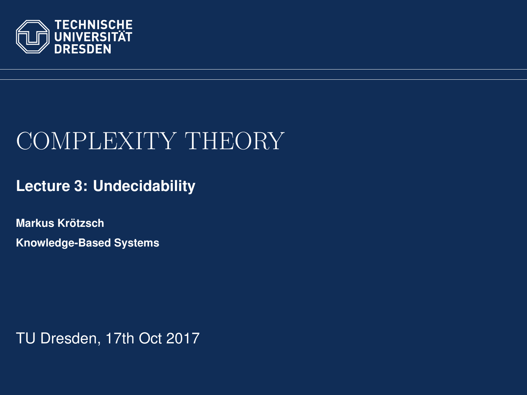<span id="page-0-0"></span>

# COMPLEXITY THEORY

**[Lecture 3: Undecidability](https://iccl.inf.tu-dresden.de/web/Complexity_Theory_(WS2017/18))**

**[Markus Krotzsch](https://iccl.inf.tu-dresden.de/web/Markus_Kr%C3%B6tzsch/en) ¨ Knowledge-Based Systems**

TU Dresden, 17th Oct 2017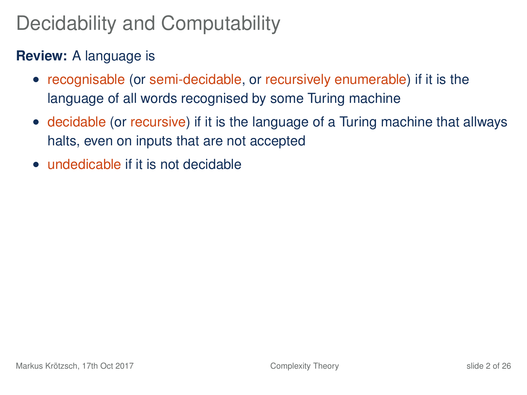# Decidability and Computability

#### **Review:** A language is

- recognisable (or semi-decidable, or recursively enumerable) if it is the language of all words recognised by some Turing machine
- decidable (or recursive) if it is the language of a Turing machine that allways halts, even on inputs that are not accepted
- undedicable if it is not decidable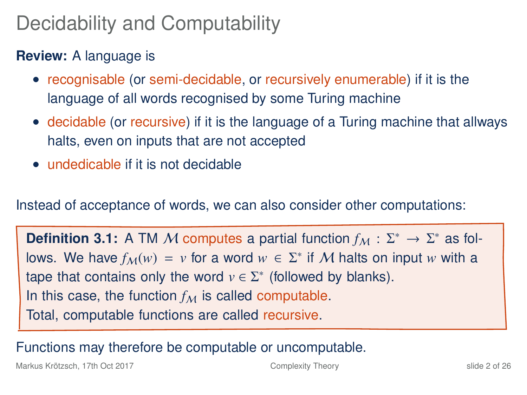# Decidability and Computability

#### **Review:** A language is

- recognisable (or semi-decidable, or recursively enumerable) if it is the language of all words recognised by some Turing machine
- decidable (or recursive) if it is the language of a Turing machine that allways halts, even on inputs that are not accepted
- undedicable if it is not decidable

Instead of acceptance of words, we can also consider other computations:

**Definition 3.1:** A TM M computes a partial function  $f_M : \Sigma^* \to \Sigma^*$  as follows. We have  $f_{\mathcal{M}}(w) = v$  for a word  $w \in \Sigma^*$  if M halts on input w with a tape that contains only the word  $v \in \Sigma^*$  (followed by blanks). In this case, the function  $f_M$  is called computable. Total, computable functions are called recursive.

Functions may therefore be computable or uncomputable.

Markus Krötzsch, 17th Oct 2017 **[Complexity Theory](#page-0-0)** Complexity Theory **Shipers** slide 2 of 26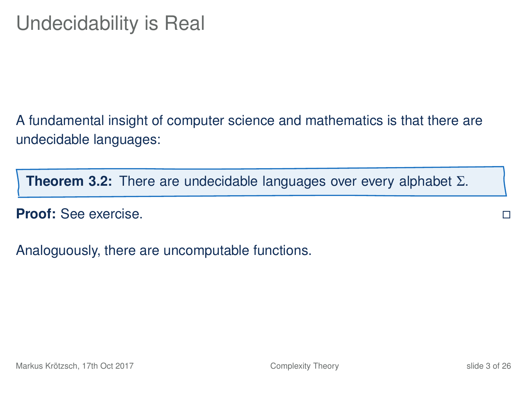A fundamental insight of computer science and mathematics is that there are undecidable languages:

**Theorem 3.2:** There are undecidable languages over every alphabet Σ.

**Proof:** See exercise.

Analoguously, there are uncomputable functions.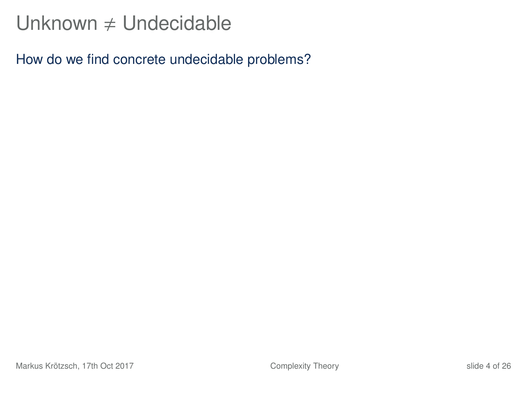## Unknown  $\neq$  Undecidable

How do we find concrete undecidable problems?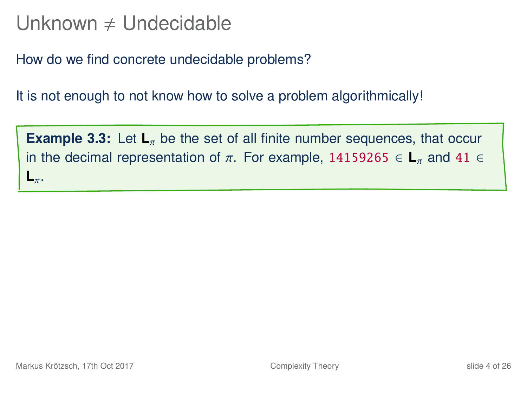### Unknown  $\neq$  Undecidable

How do we find concrete undecidable problems?

It is not enough to not know how to solve a problem algorithmically!

**Example 3.3:** Let  $\mathbf{L}_{\pi}$  be the set of all finite number sequences, that occur in the decimal representation of  $\pi$ . For example, 14159265  $\in L_{\pi}$  and 41  $\in$ **L**π.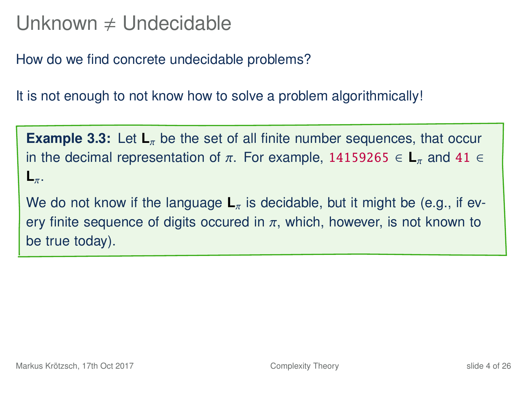## Unknown  $\neq$  Undecidable

How do we find concrete undecidable problems?

It is not enough to not know how to solve a problem algorithmically!

**Example 3.3:** Let  $L_{\pi}$  be the set of all finite number sequences, that occur in the decimal representation of  $\pi$ . For example, 14159265  $\in L_{\pi}$  and 41  $\in$ **L**π.

We do not know if the language  $L_{\pi}$  is decidable, but it might be (e.g., if every finite sequence of digits occured in  $\pi$ , which, however, is not known to be true today).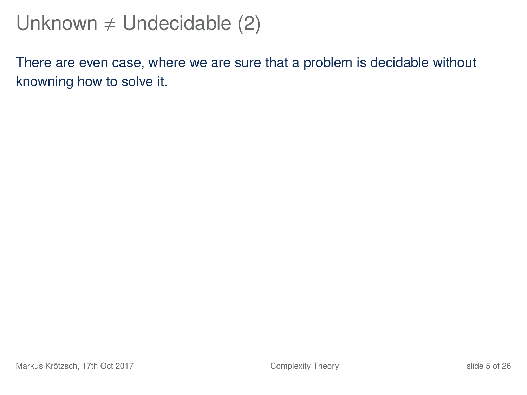## Unknown  $\neq$  Undecidable (2)

There are even case, where we are sure that a problem is decidable without knowning how to solve it.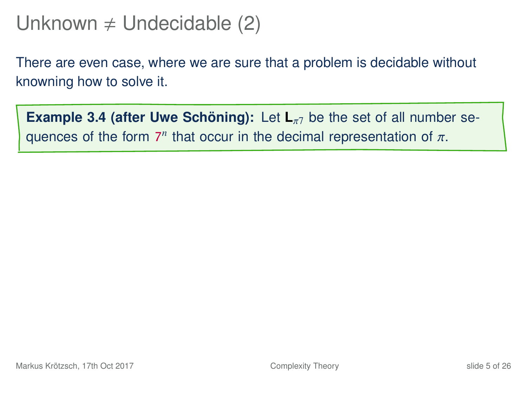# Unknown  $\neq$  Undecidable (2)

There are even case, where we are sure that a problem is decidable without knowning how to solve it.

**Example 3.4 (after Uwe Schöning):** Let  $\mathbf{L}_{\pi}$  be the set of all number sequences of the form  $7^n$  that occur in the decimal representation of  $\pi$ .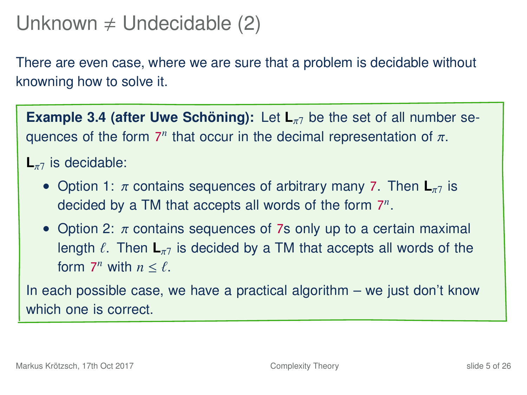## Unknown  $\neq$  Undecidable (2)

There are even case, where we are sure that a problem is decidable without knowning how to solve it.

**Example 3.4 (after Uwe Schöning):** Let  $\mathbf{L}_{\pi}$  be the set of all number sequences of the form  $7^n$  that occur in the decimal representation of  $\pi$ .

#### $L_{\pi7}$  is decidable:

- Option 1: π contains sequences of arbitrary many 7. Then **L**<sub>π7</sub> is decided by a TM that accepts all words of the form 7 *n* .
- Option 2:  $\pi$  contains sequences of 7s only up to a certain maximal length  $\ell$ . Then  $\mathbf{L}_{\pi}$  is decided by a TM that accepts all words of the form  $7^n$  with  $n \leq \ell$ .

In each possible case, we have a practical algorithm – we just don't know which one is correct.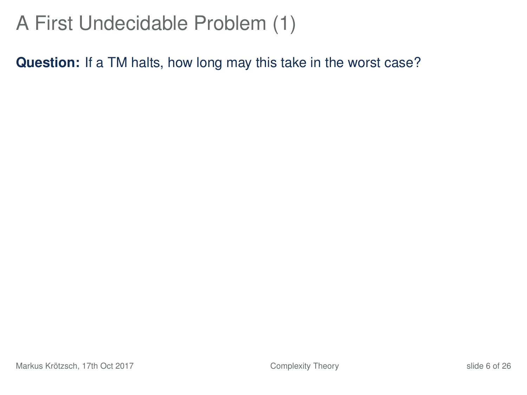**Question:** If a TM halts, how long may this take in the worst case?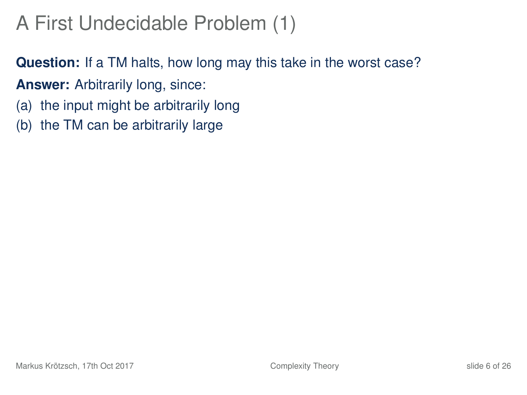**Question:** If a TM halts, how long may this take in the worst case?

- **Answer:** Arbitrarily long, since:
- (a) the input might be arbitrarily long
- (b) the TM can be arbitrarily large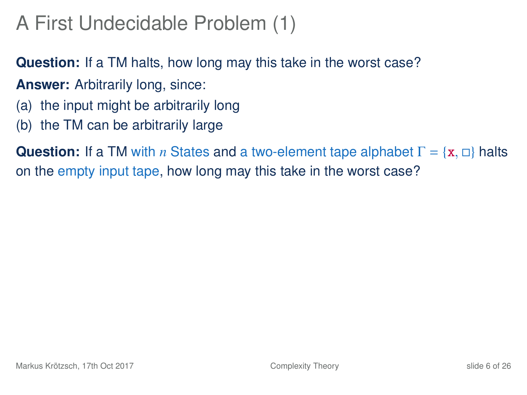**Question:** If a TM halts, how long may this take in the worst case?

- **Answer:** Arbitrarily long, since:
- (a) the input might be arbitrarily long
- (b) the TM can be arbitrarily large

**Question:** If a TM with *n* States and a two-element tape alphabet  $\Gamma = \{x, \Box\}$  halts on the empty input tape, how long may this take in the worst case?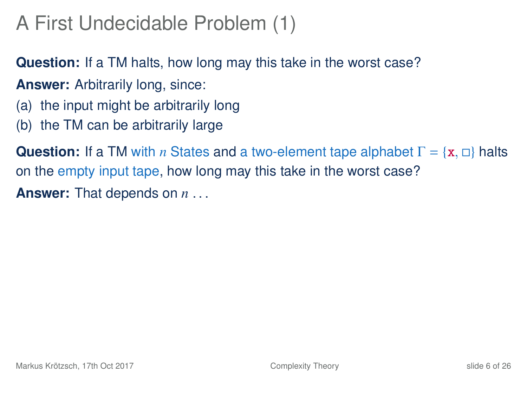**Question:** If a TM halts, how long may this take in the worst case?

- **Answer:** Arbitrarily long, since:
- (a) the input might be arbitrarily long
- (b) the TM can be arbitrarily large

**Question:** If a TM with *n* States and a two-element tape alphabet  $\Gamma = \{x, \Box\}$  halts on the empty input tape, how long may this take in the worst case? **Answer:** That depends on *n* . . .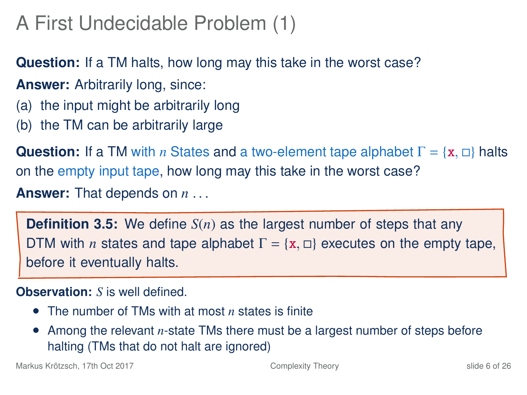**Question:** If a TM halts, how long may this take in the worst case?

- **Answer:** Arbitrarily long, since:
- (a) the input might be arbitrarily long
- (b) the TM can be arbitrarily large

**Question:** If a TM with *n* States and a two-element tape alphabet  $\Gamma = \{x, \Box\}$  halts on the empty input tape, how long may this take in the worst case?

**Answer:** That depends on *n* . . .

**Definition 3.5:** We define *S*(*n*) as the largest number of steps that any DTM with *n* states and tape alphabet  $\Gamma = \{x, \Box\}$  executes on the empty tape, before it eventually halts.

**Observation:** *S* is well defined.

- The number of TMs with at most *n* states is finite
- Among the relevant *n*-state TMs there must be a largest number of steps before halting (TMs that do not halt are ignored)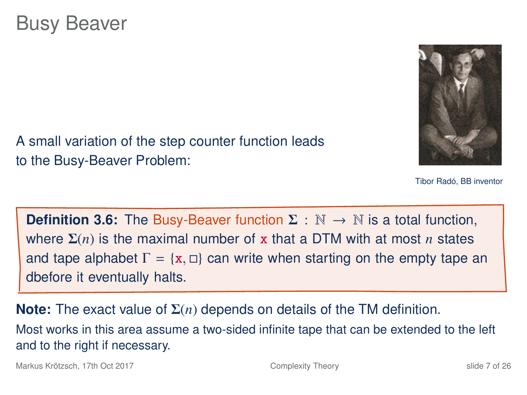to the Busy-Beaver Problem:



Tibor Radó, BB inventor

**Definition 3.6:** The Busy-Beaver function  $\Sigma : \mathbb{N} \to \mathbb{N}$  is a total function, where Σ(*n*) is the maximal number of x that a DTM with at most *n* states and tape alphabet  $\Gamma = \{x, \Box\}$  can write when starting on the empty tape an dbefore it eventually halts.

A small variation of the step counter function leads

**Note:** The exact value of Σ(*n*) depends on details of the TM definition. Most works in this area assume a two-sided infinite tape that can be extended to the left and to the right if necessary.

Markus Krötzsch, 17th Oct 2017 [Complexity Theory](#page-0-0) slide 7 of 26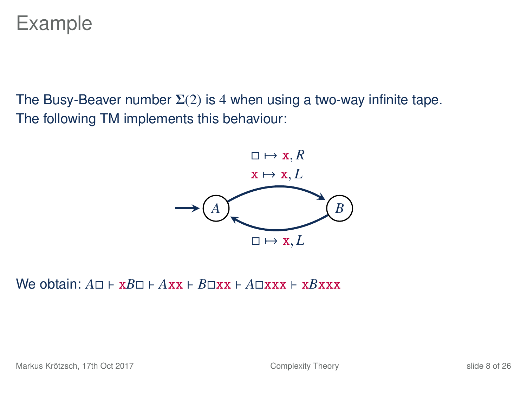Example

The Busy-Beaver number  $\Sigma(2)$  is 4 when using a two-way infinite tape. The following TM implements this behaviour:



 $W$ e obtain:  $A \sqcap F \times B \sqcap F$  *Axx*  $F$  *B* $\sqcap$ xx  $F$  *A* $\sqcap$ xxx  $F$  x*Bxxx*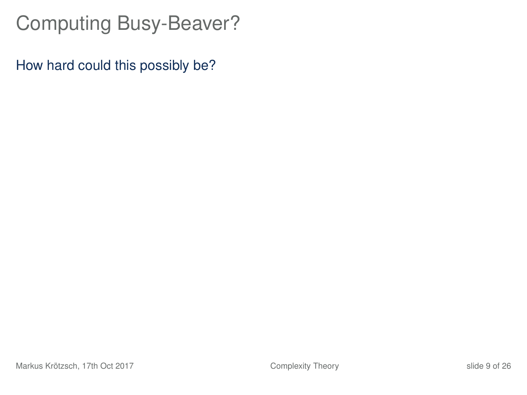How hard could this possibly be?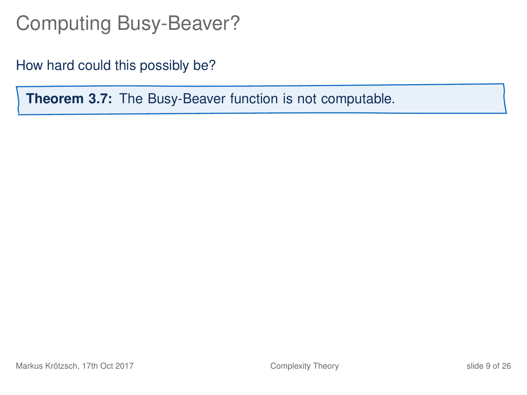How hard could this possibly be?

**Theorem 3.7:** The Busy-Beaver function is not computable.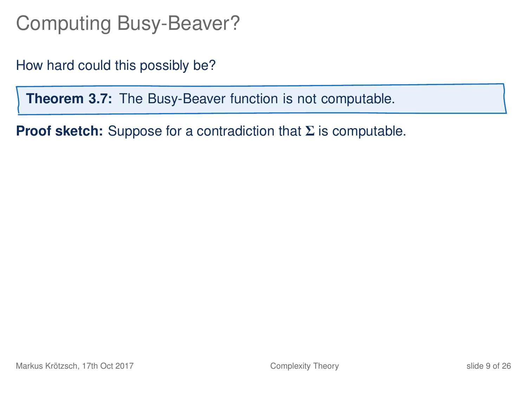How hard could this possibly be?

**Theorem 3.7:** The Busy-Beaver function is not computable.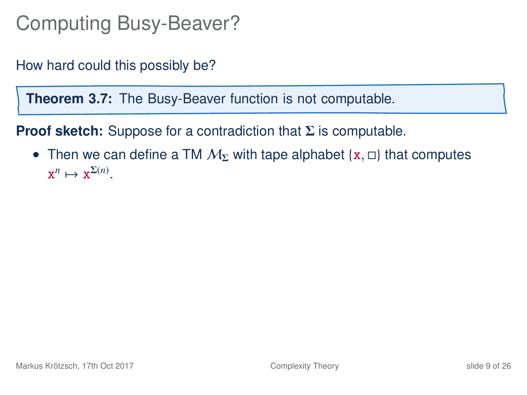How hard could this possibly be?

**Theorem 3.7:** The Busy-Beaver function is not computable.

**Proof sketch:** Suppose for a contradiction that Σ is computable.

• Then we can define a TM  $M_{\Sigma}$  with tape alphabet {x,  $\Box$ } that computes  $\mathbf{x}^n \mapsto \mathbf{x}^{\Sigma(n)}$ .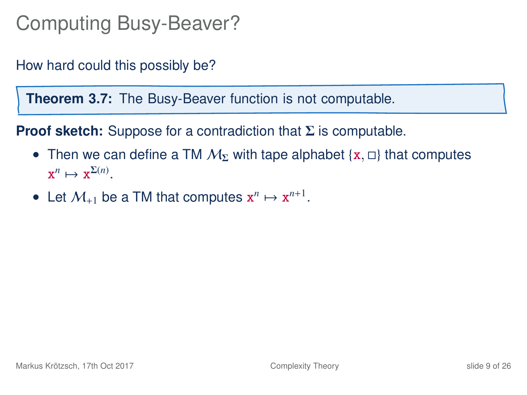How hard could this possibly be?

**Theorem 3.7:** The Busy-Beaver function is not computable.

- Then we can define a TM  $M_{\Sigma}$  with tape alphabet {x,  $\Box$ } that computes  $\mathbf{x}^n \mapsto \mathbf{x}^{\Sigma(n)}$ .
- Let  $M_{+1}$  be a TM that computes  $x^n \mapsto x^{n+1}$ .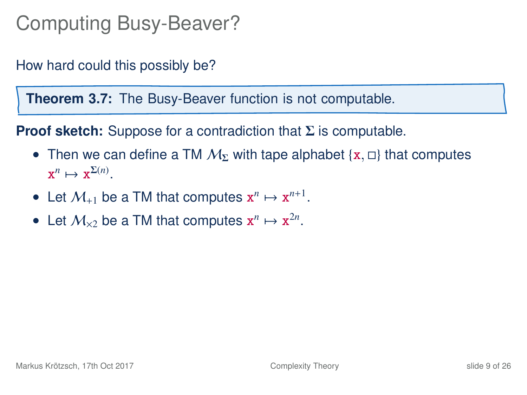How hard could this possibly be?

**Theorem 3.7:** The Busy-Beaver function is not computable.

- Then we can define a TM  $M_{\Sigma}$  with tape alphabet {x,  $\Box$ } that computes  $\mathbf{x}^n \mapsto \mathbf{x}^{\Sigma(n)}$ .
- Let  $M_{+1}$  be a TM that computes  $x^n \mapsto x^{n+1}$ .
- Let  $M_{\times 2}$  be a TM that computes  $x^n \mapsto x^{2n}$ .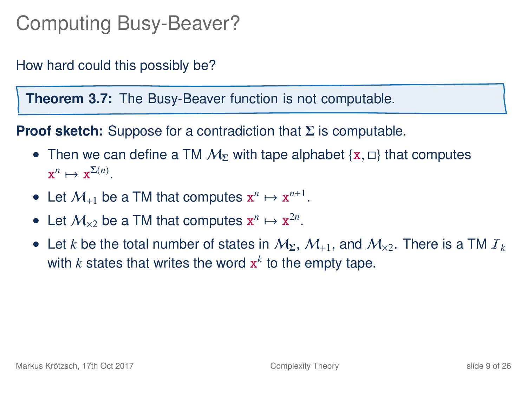How hard could this possibly be?

**Theorem 3.7:** The Busy-Beaver function is not computable.

- Then we can define a TM  $M_{\Sigma}$  with tape alphabet {x,  $\Box$ } that computes  $\mathbf{x}^n \mapsto \mathbf{x}^{\Sigma(n)}$ .
- Let  $M_{+1}$  be a TM that computes  $x^n \mapsto x^{n+1}$ .
- Let  $M_{\times 2}$  be a TM that computes  $x^n \mapsto x^{2n}$ .
- Let *k* be the total number of states in  $M_{\Sigma}$ ,  $M_{+1}$ , and  $M_{\times 2}$ . There is a TM  $I_k$ with  $k$  states that writes the word  $\mathbf{x}^k$  to the empty tape.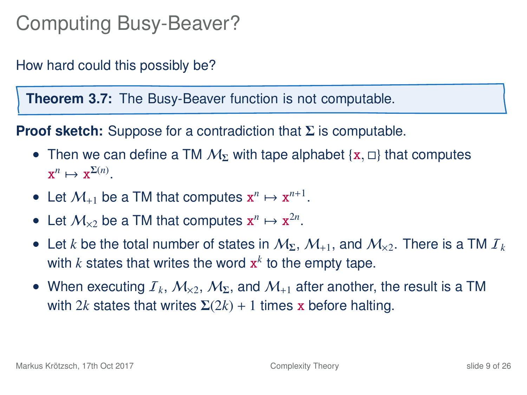How hard could this possibly be?

**Theorem 3.7:** The Busy-Beaver function is not computable.

- Then we can define a TM  $M_{\Sigma}$  with tape alphabet {x,  $\Box$ } that computes  $\mathbf{x}^n \mapsto \mathbf{x}^{\Sigma(n)}$ .
- Let  $M_{+1}$  be a TM that computes  $x^n \mapsto x^{n+1}$ .
- Let  $M_{\times 2}$  be a TM that computes  $x^n \mapsto x^{2n}$ .
- Let *k* be the total number of states in  $M_{\Sigma}$ ,  $M_{+1}$ , and  $M_{\times 2}$ . There is a TM  $I_k$ with  $k$  states that writes the word  $\mathbf{x}^k$  to the empty tape.
- When executing  $T_k$ ,  $M_{\rm x2}$ ,  $M_{\rm \Sigma}$ , and  $M_{\rm +1}$  after another, the result is a TM with 2*k* states that writes  $\Sigma(2k) + 1$  times x before halting.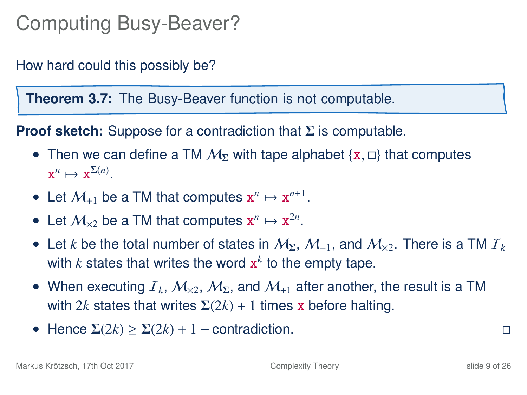How hard could this possibly be?

**Theorem 3.7:** The Busy-Beaver function is not computable.

- Then we can define a TM  $M_{\Sigma}$  with tape alphabet {x,  $\Box$ } that computes  $\mathbf{x}^n \mapsto \mathbf{x}^{\Sigma(n)}$ .
- Let  $M_{+1}$  be a TM that computes  $x^n \mapsto x^{n+1}$ .
- Let  $M_{\times 2}$  be a TM that computes  $x^n \mapsto x^{2n}$ .
- Let *k* be the total number of states in  $M_{\Sigma}$ ,  $M_{+1}$ , and  $M_{\times 2}$ . There is a TM  $I_k$ with  $k$  states that writes the word  $\mathbf{x}^k$  to the empty tape.
- When executing  $T_k$ ,  $M_{\rm x2}$ ,  $M_{\rm \Sigma}$ , and  $M_{\rm +1}$  after another, the result is a TM with 2*k* states that writes  $\Sigma(2k) + 1$  times x before halting.
- Hence  $\Sigma(2k) \geq \Sigma(2k) + 1$  contradiction.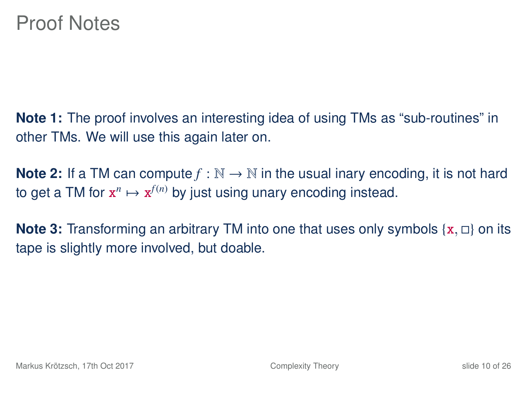**Note 1:** The proof involves an interesting idea of using TMs as "sub-routines" in other TMs. We will use this again later on.

**Note 2:** If a TM can compute  $f : \mathbb{N} \to \mathbb{N}$  in the usual inary encoding, it is not hard to get a TM for  $\mathbf{x}^n \mapsto \mathbf{x}^{f(n)}$  by just using unary encoding instead.

**Note 3:** Transforming an arbitrary TM into one that uses only symbols  $\{x, \Box\}$  on its tape is slightly more involved, but doable.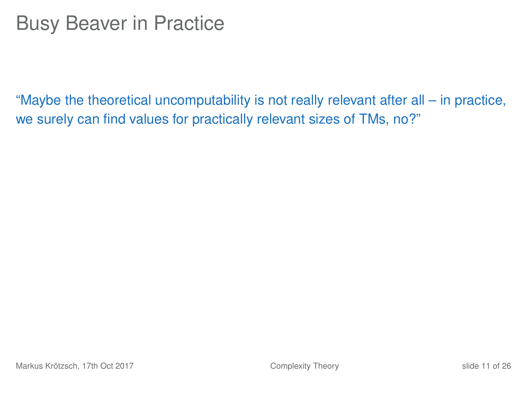"Maybe the theoretical uncomputability is not really relevant after all – in practice, we surely can find values for practically relevant sizes of TMs, no?"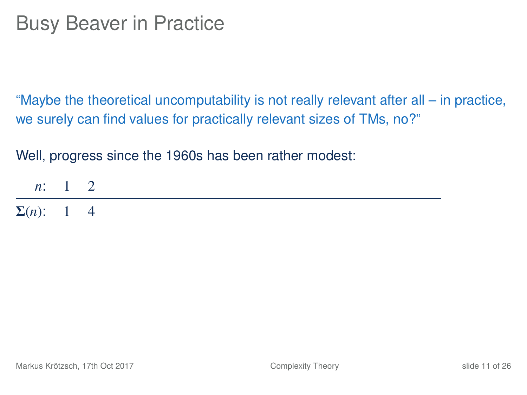"Maybe the theoretical uncomputability is not really relevant after all – in practice, we surely can find values for practically relevant sizes of TMs, no?"

Well, progress since the 1960s has been rather modest:

*n*: 1 2  $Σ(n):$  1 4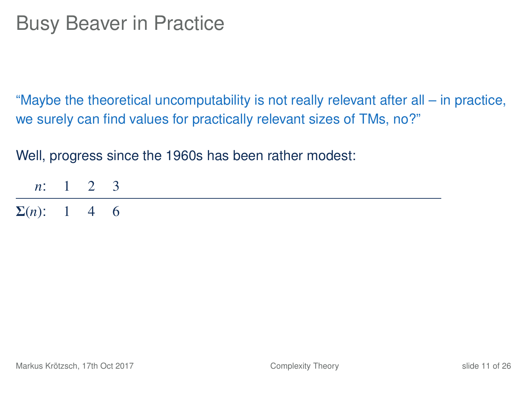"Maybe the theoretical uncomputability is not really relevant after all – in practice, we surely can find values for practically relevant sizes of TMs, no?"

| $n: 1 \t2 \t3$      |  |  |
|---------------------|--|--|
| $\Sigma(n)$ : 1 4 6 |  |  |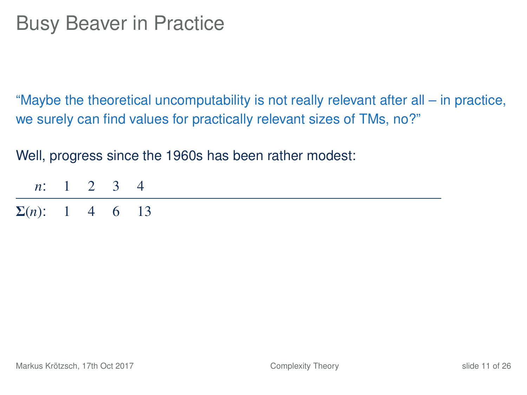"Maybe the theoretical uncomputability is not really relevant after all – in practice, we surely can find values for practically relevant sizes of TMs, no?"

| <i>n</i> : 1 2 3 4     |  |  |  |
|------------------------|--|--|--|
| $\Sigma(n)$ : 1 4 6 13 |  |  |  |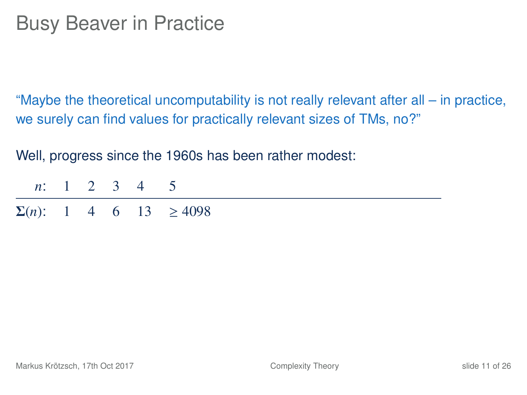"Maybe the theoretical uncomputability is not really relevant after all – in practice, we surely can find values for practically relevant sizes of TMs, no?"

| <i>n</i> : 1 2 3 4 5 |  |  |                                    |
|----------------------|--|--|------------------------------------|
|                      |  |  | $\Sigma(n)$ : 1 4 6 13 $\geq 4098$ |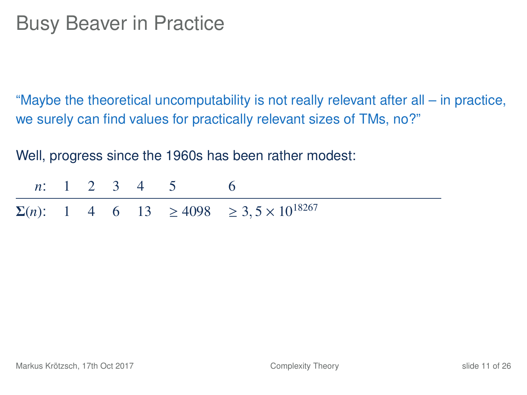"Maybe the theoretical uncomputability is not really relevant after all – in practice, we surely can find values for practically relevant sizes of TMs, no?"

|  |  | <i>n</i> : 1 2 3 4 5 6 |                                                                |
|--|--|------------------------|----------------------------------------------------------------|
|  |  |                        | $\Sigma(n)$ : 1 4 6 13 $\geq 4098 \geq 3, 5 \times 10^{18267}$ |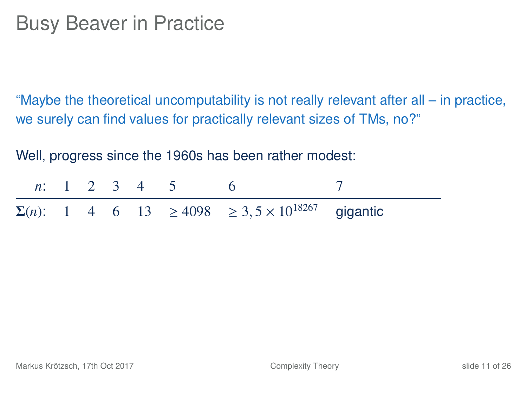"Maybe the theoretical uncomputability is not really relevant after all – in practice, we surely can find values for practically relevant sizes of TMs, no?"

| <i>n</i> : 1 2 3 4 5 |  |  |                                                                           |  |
|----------------------|--|--|---------------------------------------------------------------------------|--|
|                      |  |  | $\Sigma(n)$ : 1 4 6 13 $\geq 4098$ $\geq 3, 5 \times 10^{18267}$ gigantic |  |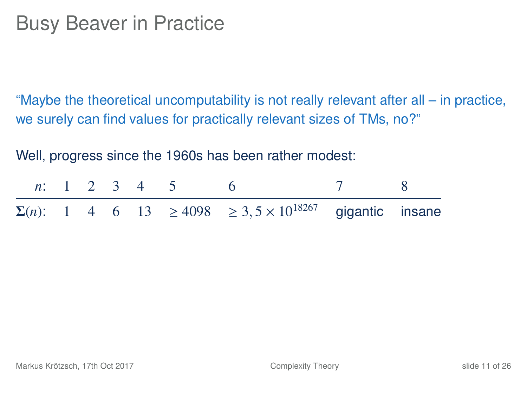"Maybe the theoretical uncomputability is not really relevant after all – in practice, we surely can find values for practically relevant sizes of TMs, no?"

|  |  | <i>n</i> : 1 2 3 4 5 6 | 7 8                                                                                  |  |
|--|--|------------------------|--------------------------------------------------------------------------------------|--|
|  |  |                        | $\Sigma(n)$ : 1 4 6 13 $\geq$ 4098 $\geq$ 3, 5 × 10 <sup>18267</sup> gigantic insane |  |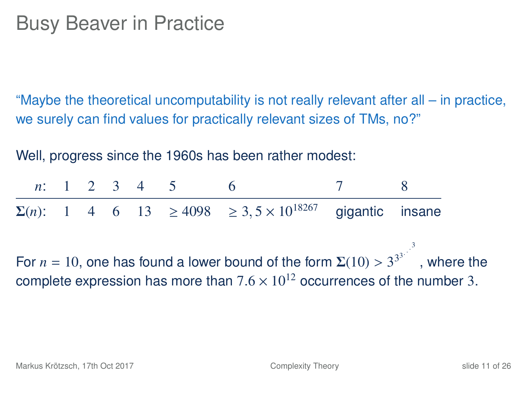"Maybe the theoretical uncomputability is not really relevant after all – in practice, we surely can find values for practically relevant sizes of TMs, no?"

Well, progress since the 1960s has been rather modest:

*n*: 1 2 3 4 5 6 7 8  $\Sigma(n)$ : 1 4 6 13  $\geq 4098$   $\geq 3.5 \times 10^{18267}$  gigantic insane For  $n = 10$ , one has found a lower bound of the form  $\Sigma(10) > 3^{33}$ , where the complete expression has more than  $7.6 \times 10^{12}$  occurrences of the number 3.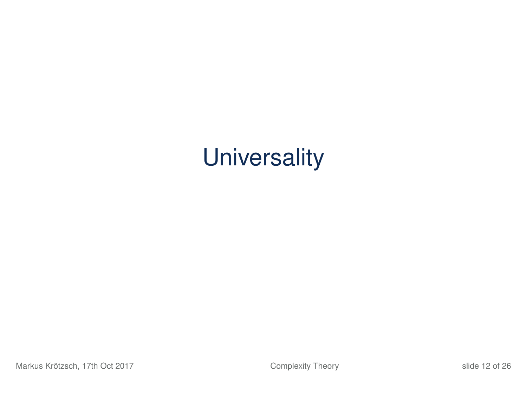# **Universality**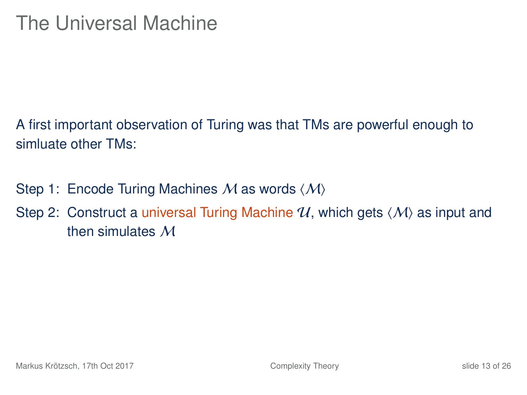A first important observation of Turing was that TMs are powerful enough to simluate other TMs:

- Step 1: Encode Turing Machines M as words  $\langle M \rangle$
- Step 2: Construct a universal Turing Machine  $\mathcal{U}$ , which gets  $\langle \mathcal{M} \rangle$  as input and then simulates M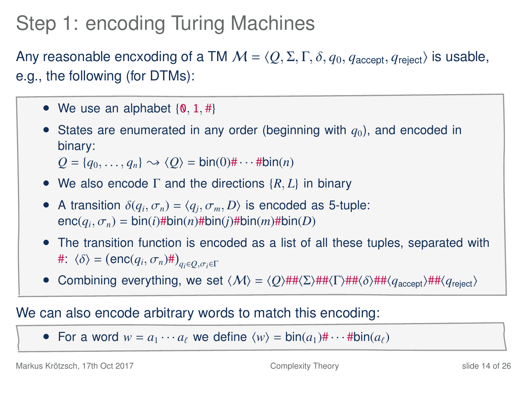## Step 1: encoding Turing Machines

Any reasonable encxoding of a TM  $M = \langle Q, \Sigma, \Gamma, \delta, q_0, q_{\text{accept}}, q_{\text{reject}} \rangle$  is usable, e.g., the following (for DTMs):

- We use an alphabet  $\{0, 1, # \}$
- States are enumerated in any order (beginning with  $q_0$ ), and encoded in binary:

 $Q = \{q_0, \ldots, q_n\} \rightsquigarrow \langle Q \rangle = \text{bin}(0) \# \cdots \# \text{bin}(n)$ 

- We also encode <sup>Γ</sup> and the directions {*R*, *<sup>L</sup>*} in binary
- A transition  $\delta(q_i, \sigma_n) = \langle q_j, \sigma_m, D \rangle$  is encoded as 5-tuple:<br>enc $(a, \sigma)$  = hin(*i*)#hin(*i*)#hin(*i*)#hin(*i*)#hin(*i*) enc(*q<sup>i</sup>* ,σ*<sup>n</sup>*) <sup>=</sup> bin(*i*)#bin(*n*)#bin(*j*)#bin(*m*)#bin(*D*)
- The transition function is encoded as a list of all these tuples, separated with  $\#\colon \langle \delta \rangle = (\text{enc}(q_i, \sigma_n) \# )_{q_i \in Q, \sigma_i \in \Gamma}$
- Combining everything, we set  $\langle M \rangle = \langle Q \rangle$ ## $\langle \Sigma \rangle$ ## $\langle \delta \rangle$ ## $\langle q_{\text{accept}} \rangle$ ## $\langle q_{\text{reject}} \rangle$

#### We can also encode arbitrary words to match this encoding:

• For a word  $w = a_1 \cdots a_\ell$  we define  $\langle w \rangle = \text{bin}(a_1) \# \cdots \# \text{bin}(a_\ell)$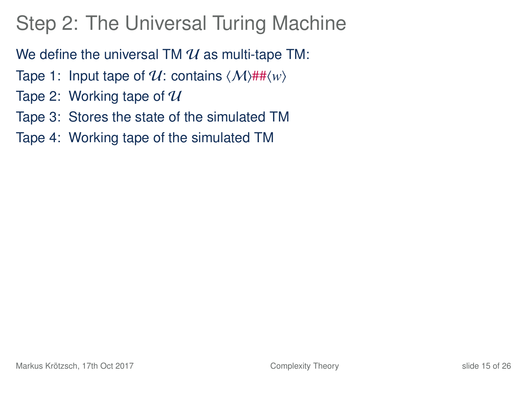# Step 2: The Universal Turing Machine

We define the universal TM  $\mathcal U$  as multi-tape TM:

- Tape 1: Input tape of  $\mathcal{U}$ : contains  $\langle \mathcal{M} \rangle$ ## $\langle w \rangle$
- Tape 2: Working tape of  $\mathcal U$
- Tape 3: Stores the state of the simulated TM
- Tape 4: Working tape of the simulated TM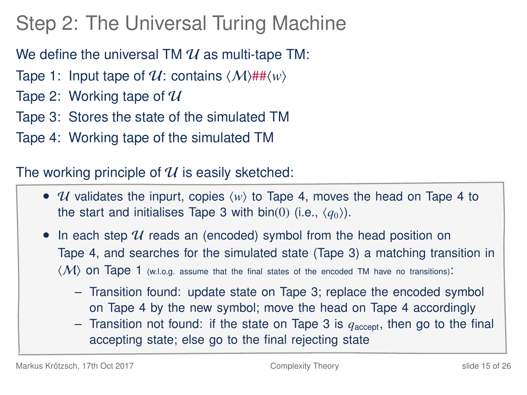# Step 2: The Universal Turing Machine

We define the universal TM  $\mathcal U$  as multi-tape TM:

- Tape 1: Input tape of  $\mathcal{U}$ : contains  $\langle \mathcal{M} \rangle$ ## $\langle w \rangle$
- Tape 2: Working tape of  $\mathcal U$
- Tape 3: Stores the state of the simulated TM
- Tape 4: Working tape of the simulated TM

The working principle of  $\mathcal U$  is easily sketched:

- *U* validates the inpurt, copies  $\langle w \rangle$  to Tape 4, moves the head on Tape 4 to the start and initialises Tape 3 with bin(0) (i.e.,  $\langle q_0 \rangle$ ).
- In each step  $U$  reads an (encoded) symbol from the head position on Tape 4, and searches for the simulated state (Tape 3) a matching transition in  $\langle \mathcal{M} \rangle$  ON Tape 1 (w.l.o.g. assume that the final states of the encoded TM have no transitions):
	- Transition found: update state on Tape 3; replace the encoded symbol on Tape 4 by the new symbol; move the head on Tape 4 accordingly
	- Transition not found: if the state on Tape 3 is  $q_{\text{accept}}$ , then go to the final accepting state; else go to the final rejecting state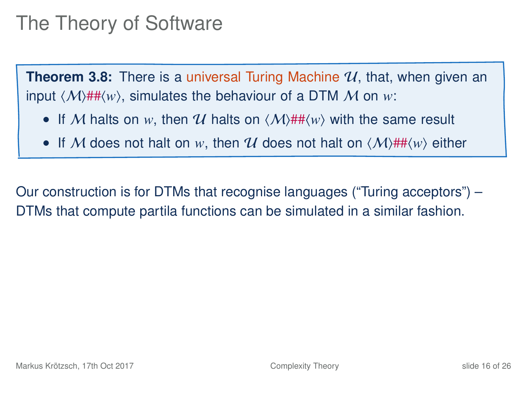#### The Theory of Software

**Theorem 3.8:** There is a universal Turing Machine  $\mathcal{U}$ , that, when given an input  $\langle M \rangle$ ## $\langle w \rangle$ , simulates the behaviour of a DTM M on *w*:

- If M halts on w, then U halts on  $\langle M \rangle$ ## $\langle w \rangle$  with the same result
- If M does not halt on w, then U does not halt on  $\langle M \rangle$ ## $\langle w \rangle$  either

Our construction is for DTMs that recognise languages ("Turing acceptors") – DTMs that compute partila functions can be simulated in a similar fashion.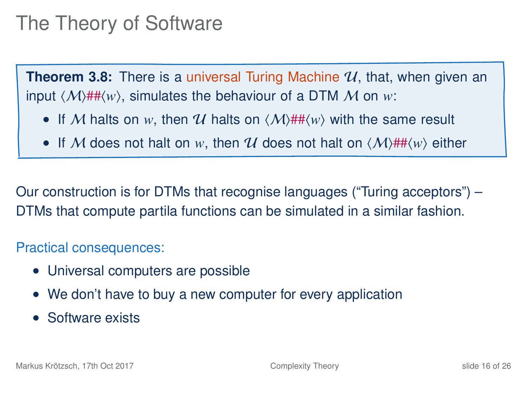#### The Theory of Software

**Theorem 3.8:** There is a universal Turing Machine  $\mathcal{U}$ , that, when given an input  $\langle M \rangle$ ## $\langle w \rangle$ , simulates the behaviour of a DTM M on *w*:

- If M halts on w, then U halts on  $\langle M \rangle$ ## $\langle w \rangle$  with the same result
- If M does not halt on w, then U does not halt on  $\langle M \rangle$ ## $\langle w \rangle$  either

Our construction is for DTMs that recognise languages ("Turing acceptors") – DTMs that compute partila functions can be simulated in a similar fashion.

Practical consequences:

- Universal computers are possible
- We don't have to buy a new computer for every application
- Software exists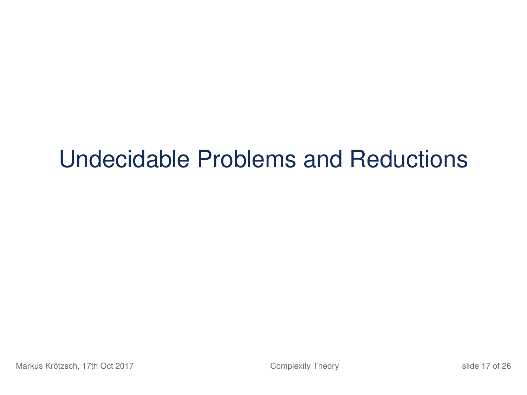# Undecidable Problems and Reductions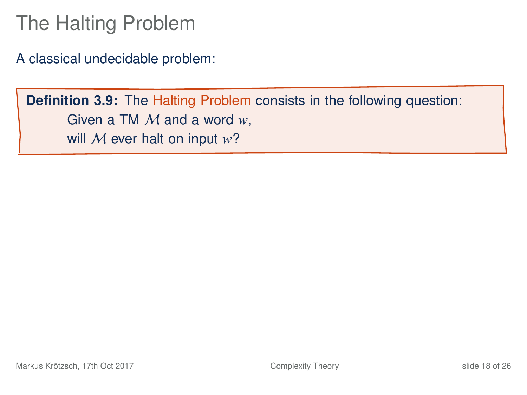### The Halting Problem

A classical undecidable problem:

**Definition 3.9:** The Halting Problem consists in the following question: Given a TM M and a word *w*, will M ever halt on input *w*?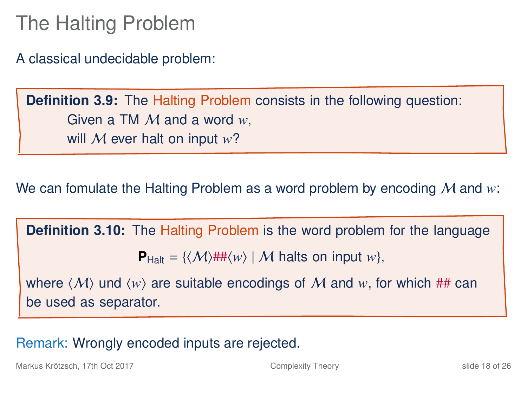#### The Halting Problem

A classical undecidable problem:

**Definition 3.9:** The Halting Problem consists in the following question: Given a TM M and a word *w*, will M ever halt on input *w*?

We can fomulate the Halting Problem as a word problem by encoding M and *w*:

**Definition 3.10:** The Halting Problem is the word problem for the language  $P_{\text{Halt}} = \{ \langle \mathcal{M} \rangle \# \# \langle w \rangle \mid \mathcal{M} \text{ halts on input } w \},\$ 

where  $\langle M \rangle$  und  $\langle w \rangle$  are suitable encodings of M and w, for which ## can be used as separator.

Remark: Wrongly encoded inputs are rejected.

Markus Krötzsch, 17th Oct 2017 [Complexity Theory](#page-0-0) slide 18 of 26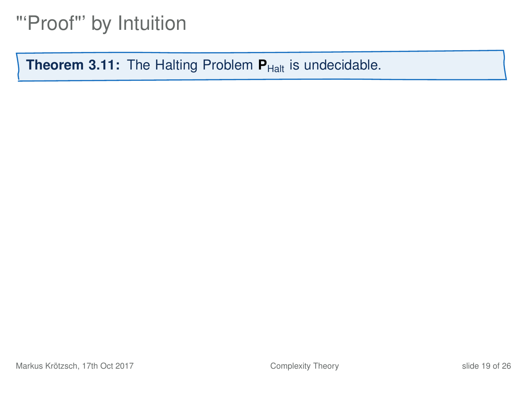#### "'Proof"' by Intuition

<span id="page-46-0"></span>**Theorem 3.11:** The Halting Problem **P**<sub>Halt</sub> is undecidable.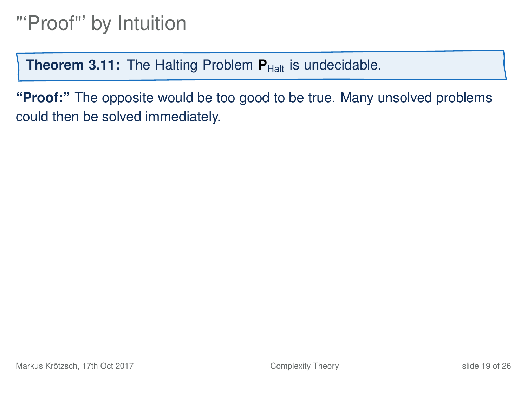**Theorem 3.11:** The Halting Problem **P**<sub>Halt</sub> is undecidable.

**"Proof:"** The opposite would be too good to be true. Many unsolved problems could then be solved immediately.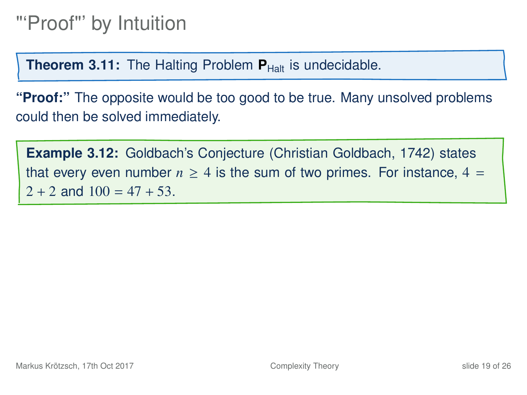**Theorem 3.11:** The Halting Problem **P**<sub>Halt</sub> is undecidable.

**"Proof:"** The opposite would be too good to be true. Many unsolved problems could then be solved immediately.

**Example 3.12:** Goldbach's Conjecture (Christian Goldbach, 1742) states that every even number  $n \geq 4$  is the sum of two primes. For instance,  $4 =$  $2 + 2$  and  $100 = 47 + 53$ .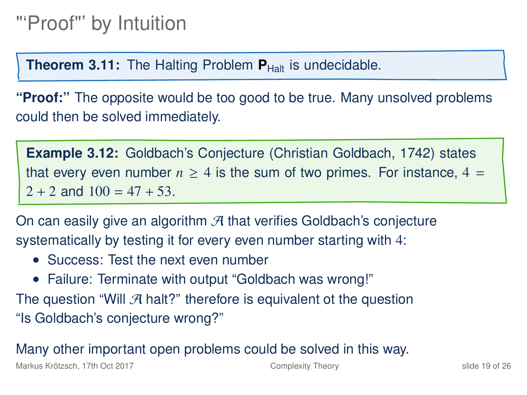**Theorem 3.11:** The Halting Problem **P**<sub>Halt</sub> is undecidable.

**"Proof:"** The opposite would be too good to be true. Many unsolved problems could then be solved immediately.

**Example 3.12:** Goldbach's Conjecture (Christian Goldbach, 1742) states that every even number  $n \geq 4$  is the sum of two primes. For instance,  $4 =$  $2 + 2$  and  $100 = 47 + 53$ .

On can easily give an algorithm  $A$  that verifies Goldbach's conjecture systematically by testing it for every even number starting with 4:

- Success: Test the next even number
- Failure: Terminate with output "Goldbach was wrong!"
- The question "Will  $\mathcal A$  halt?" therefore is equivalent ot the question "Is Goldbach's conjecture wrong?"

Many other important open problems could be solved in this way.

Markus Krötzsch, 17th Oct 2017 [Complexity Theory](#page-0-0) slide 19 of 26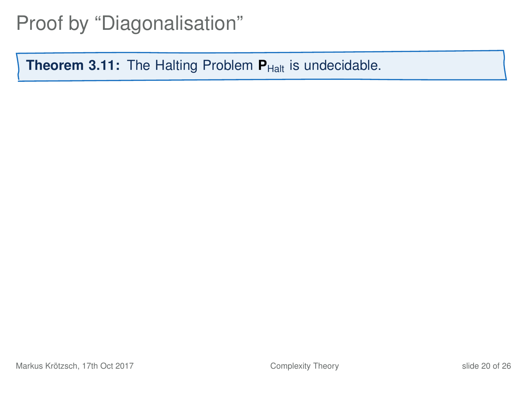#### Proof by "Diagonalisation"

**Theorem 3[.11:](#page-46-0)** The Halting Problem  $P_{\text{Half}}$  is undecidable.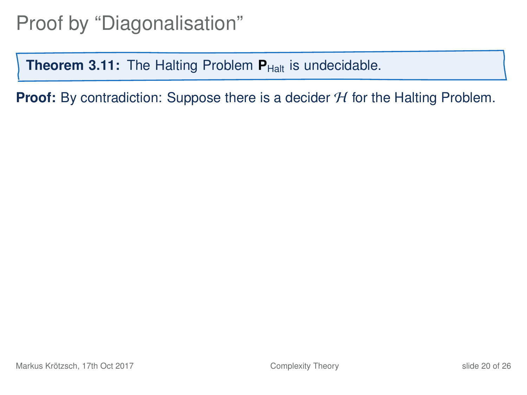**Theorem 3[.11:](#page-46-0)** The Halting Problem  $P_{Halt}$  is undecidable.

**Proof:** By contradiction: Suppose there is a decider  $H$  for the Halting Problem.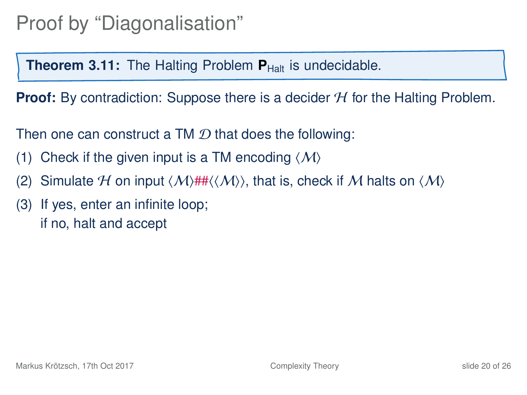**Theorem 3[.11:](#page-46-0)** The Halting Problem **P**<sub>Halt</sub> is undecidable.

**Proof:** By contradiction: Suppose there is a decider H for the Halting Problem.

Then one can construct a TM  $\mathcal D$  that does the following:

- (1) Check if the given input is a TM encoding  $\langle M \rangle$
- (2) Simulate H on input  $\langle M \rangle$ ## $\langle \langle M \rangle$ , that is, check if M halts on  $\langle M \rangle$
- (3) If yes, enter an infinite loop; if no, halt and accept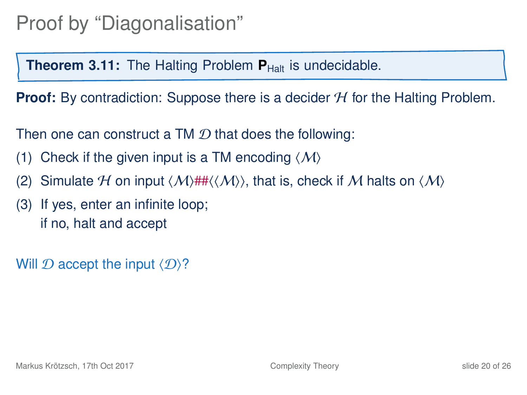**Theorem 3[.11:](#page-46-0)** The Halting Problem **P**<sub>Halt</sub> is undecidable.

**Proof:** By contradiction: Suppose there is a decider H for the Halting Problem.

Then one can construct a TM  $\mathcal D$  that does the following:

- (1) Check if the given input is a TM encoding  $\langle M \rangle$
- (2) Simulate H on input  $\langle M \rangle$ ## $\langle \langle M \rangle$ , that is, check if M halts on  $\langle M \rangle$
- (3) If yes, enter an infinite loop; if no, halt and accept

Will  $\mathcal D$  accept the input  $\langle \mathcal D \rangle$ ?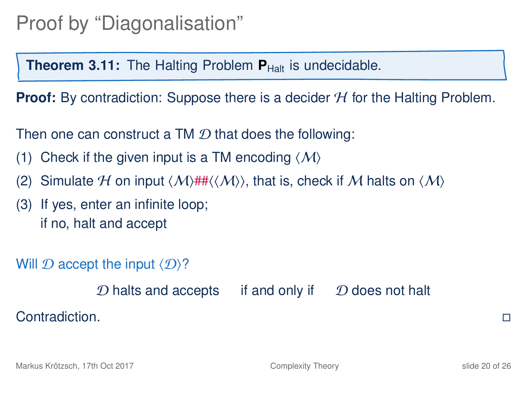**Theorem 3[.11:](#page-46-0)** The Halting Problem **P**<sub>Halt</sub> is undecidable.

**Proof:** By contradiction: Suppose there is a decider H for the Halting Problem.

Then one can construct a TM  $\mathcal D$  that does the following:

- (1) Check if the given input is a TM encoding  $\langle M \rangle$
- (2) Simulate H on input  $\langle M \rangle$ ## $\langle \langle M \rangle$ , that is, check if M halts on  $\langle M \rangle$
- (3) If yes, enter an infinite loop; if no, halt and accept

Will  $\mathcal D$  accept the input  $\langle \mathcal D \rangle$ ?

 $D$  halts and accepts if and only if  $D$  does not halt  $\Box$  Contradiction.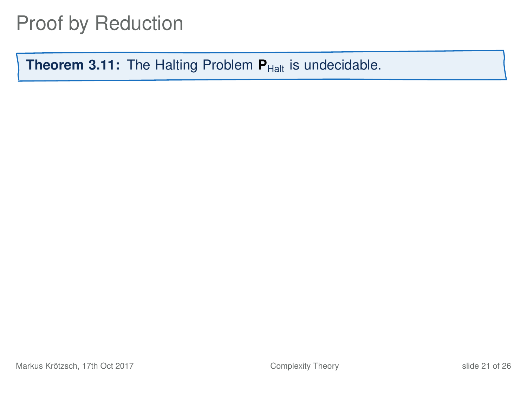**Theorem 3[.11:](#page-46-0)** The Halting Problem  $P_{\text{Half}}$  is undecidable.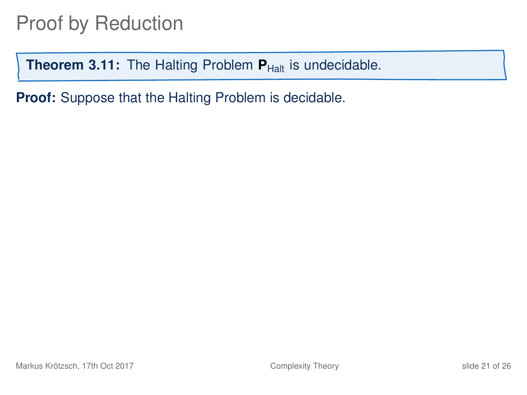**Theorem 3[.11:](#page-46-0)** The Halting Problem  $P_{\text{Half}}$  is undecidable.

**Proof:** Suppose that the Halting Problem is decidable.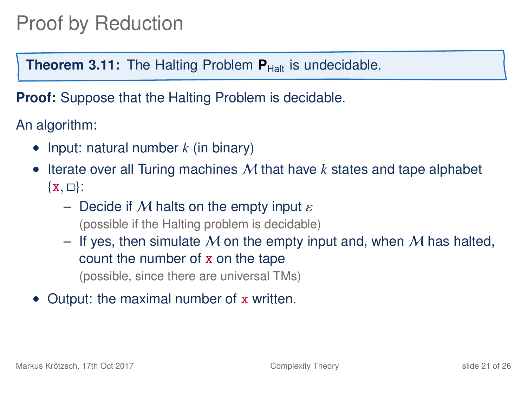**Theorem 3[.11:](#page-46-0)** The Halting Problem **P**<sub>Halt</sub> is undecidable.

**Proof:** Suppose that the Halting Problem is decidable.

An algorithm:

- Input: natural number *k* (in binary)
- Iterate over all Turing machines M that have *k* states and tape alphabet  $\{x, \Box\}$ :
	- Decide if M halts on the empty input  $\varepsilon$ (possible if the Halting problem is decidable)
	- If yes, then simulate M on the empty input and, when M has halted, count the number of x on the tape (possible, since there are universal TMs)
- Output: the maximal number of x written.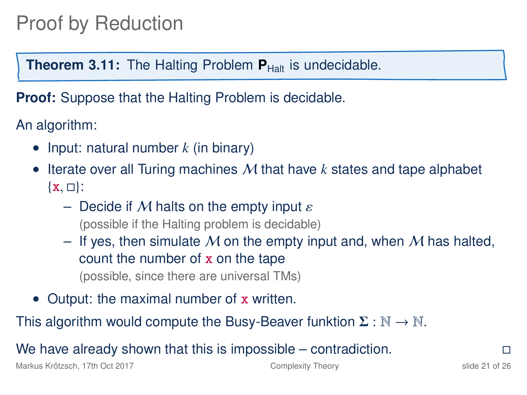**Theorem 3[.11:](#page-46-0)** The Halting Problem **P**<sub>Halt</sub> is undecidable.

**Proof:** Suppose that the Halting Problem is decidable.

An algorithm:

- Input: natural number *k* (in binary)
- Iterate over all Turing machines M that have *k* states and tape alphabet  $\{x, \Box\}$ :
	- Decide if M halts on the empty input  $\varepsilon$ (possible if the Halting problem is decidable)
	- If yes, then simulate M on the empty input and, when M has halted, count the number of x on the tape (possible, since there are universal TMs)
- Output: the maximal number of x written.

This algorithm would compute the Busy-Beaver funktion  $\Sigma : \mathbb{N} \to \mathbb{N}$ .

We have already shown that this is impossible – contradiction.  $\Box$ 

Markus Krötzsch, 17th Oct 2017 [Complexity Theory](#page-0-0) slide 21 of 26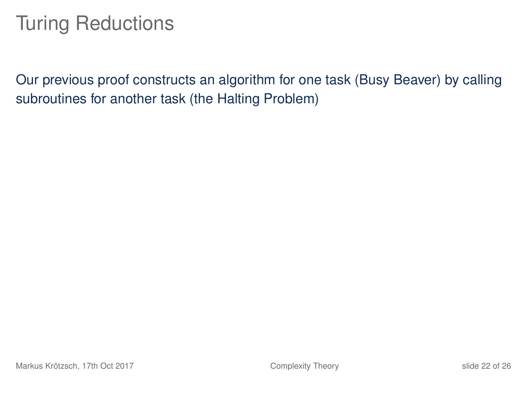#### Turing Reductions

Our previous proof constructs an algorithm for one task (Busy Beaver) by calling subroutines for another task (the Halting Problem)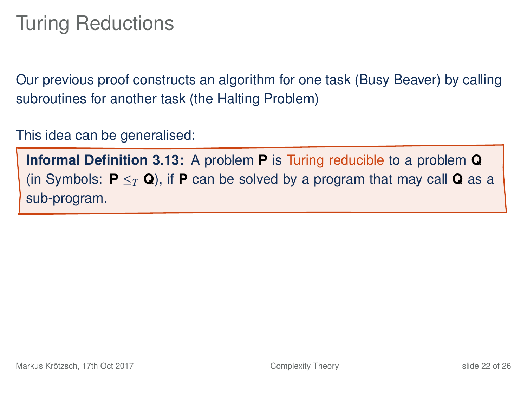#### Turing Reductions

Our previous proof constructs an algorithm for one task (Busy Beaver) by calling subroutines for another task (the Halting Problem)

This idea can be generalised:

**Informal Definition 3.13:** A problem **P** is Turing reducible to a problem **Q** (in Symbols:  $P \leq_T Q$ ), if **P** can be solved by a program that may call **Q** as a sub-program.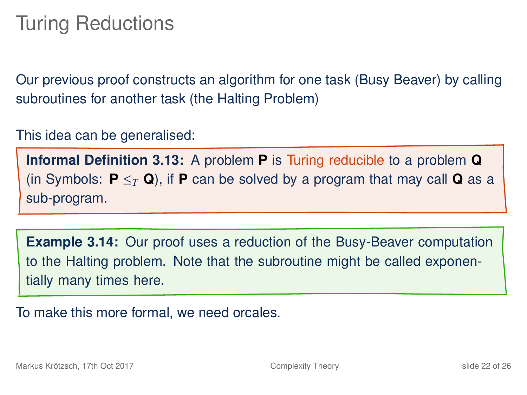#### Turing Reductions

Our previous proof constructs an algorithm for one task (Busy Beaver) by calling subroutines for another task (the Halting Problem)

This idea can be generalised:

**Informal Definition 3.13:** A problem **P** is Turing reducible to a problem **Q** (in Symbols:  $P \leq_T Q$ ), if **P** can be solved by a program that may call **Q** as a sub-program.

**Example 3.14:** Our proof uses a reduction of the Busy-Beaver computation to the Halting problem. Note that the subroutine might be called exponentially many times here.

To make this more formal, we need orcales.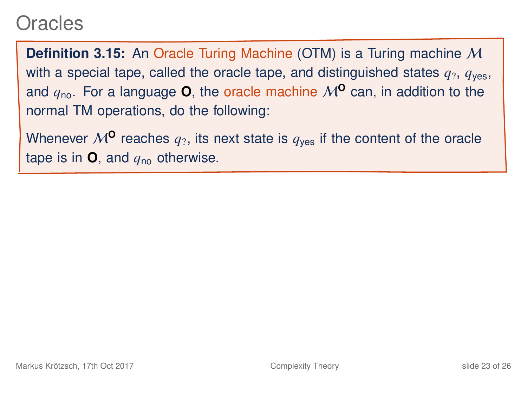#### Oracles

**Definition 3.15:** An Oracle Turing Machine (OTM) is a Turing machine M with a special tape, called the oracle tape, and distinguished states  $q_2$ ,  $q_{\text{ves}}$ , and  $q_{\text{no}}$ . For a language **O**, the oracle machine  $M^{\circ}$  can, in addition to the normal TM operations, do the following:

Whenever  $M^{\mathbf{0}}$  reaches  $q_2$ , its next state is  $q_{\text{yes}}$  if the content of the oracle tape is in  $\bullet$ , and  $q_{\text{no}}$  otherwise.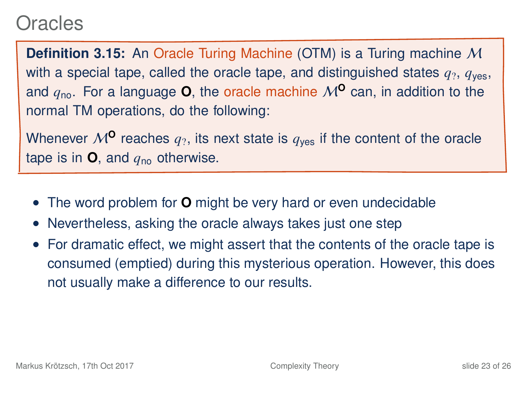#### Oracles

**Definition 3.15:** An Oracle Turing Machine (OTM) is a Turing machine M with a special tape, called the oracle tape, and distinguished states  $q_2$ ,  $q_{\text{ves}}$ , and  $q_{\text{no}}$ . For a language **O**, the oracle machine  $M^{\circ}$  can, in addition to the normal TM operations, do the following:

Whenever  $M^{\mathbf{0}}$  reaches  $q_2$ , its next state is  $q_{\text{yes}}$  if the content of the oracle tape is in  $\mathbf{O}$ , and  $q_{\text{no}}$  otherwise.

- The word problem for **O** might be very hard or even undecidable
- Nevertheless, asking the oracle always takes just one step
- For dramatic effect, we might assert that the contents of the oracle tape is consumed (emptied) during this mysterious operation. However, this does not usually make a difference to our results.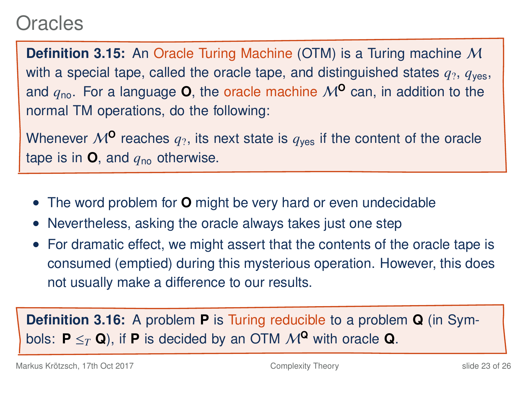#### **Oracles**

**Definition 3.15:** An Oracle Turing Machine (OTM) is a Turing machine M with a special tape, called the oracle tape, and distinguished states  $q_2$ ,  $q_{\text{ves}}$ , and  $q_{\text{no}}$ . For a language **O**, the oracle machine  $M^{\circ}$  can, in addition to the normal TM operations, do the following:

Whenever  $M^{\mathbf{0}}$  reaches  $q_2$ , its next state is  $q_{\text{yes}}$  if the content of the oracle tape is in  $\mathbf{O}$ , and  $q_{\text{no}}$  otherwise.

- The word problem for **O** might be very hard or even undecidable
- Nevertheless, asking the oracle always takes just one step
- For dramatic effect, we might assert that the contents of the oracle tape is consumed (emptied) during this mysterious operation. However, this does not usually make a difference to our results.

**Definition 3.16:** A problem **P** is Turing reducible to a problem **Q** (in Symbols:  $P \leq_T Q$ ), if **P** is decided by an OTM  $M^Q$  with oracle **Q**.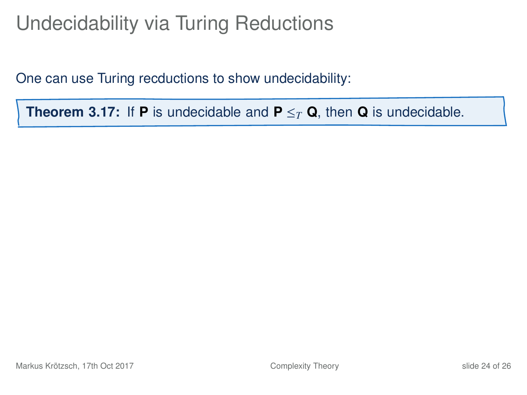# Undecidability via Turing Reductions

One can use Turing recductions to show undecidability:

**Theorem 3.17:** If **P** is undecidable and  $P \leq_T Q$ , then **Q** is undecidable.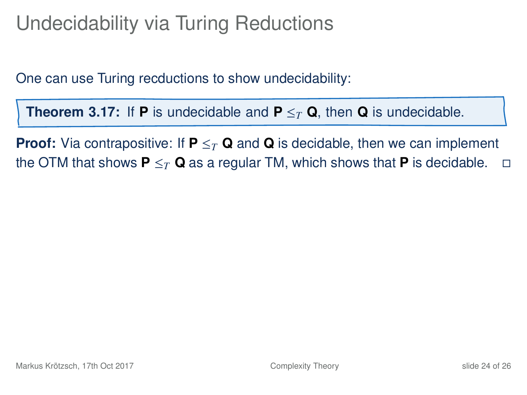# Undecidability via Turing Reductions

One can use Turing recductions to show undecidability:

**Theorem 3.17:** If **P** is undecidable and  $P \leq_T Q$ , then **Q** is undecidable.

**Proof:** Via contrapositive: If  $P \leq_T Q$  and Q is decidable, then we can implement the OTM that shows  $P \leq_T Q$  as a regular TM, which shows that P is decidable.  $\Box$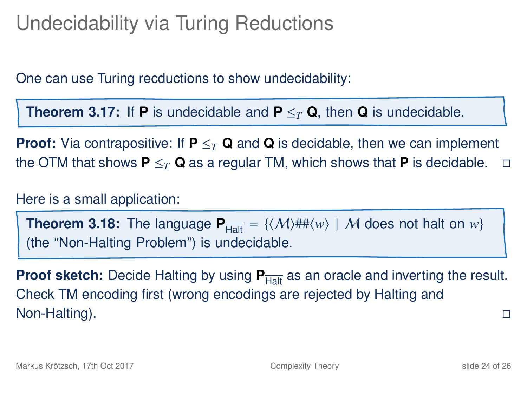# Undecidability via Turing Reductions

One can use Turing recductions to show undecidability:

**Theorem 3.17:** If **P** is undecidable and  $P \leq_T Q$ , then **Q** is undecidable.

**Proof:** Via contrapositive: If  $P \leq_T Q$  and Q is decidable, then we can implement the OTM that shows  $P \leq_T Q$  as a regular TM, which shows that **P** is decidable.  $\Box$ 

Here is a small application:

**Theorem 3.18:** The language  $P_{\text{Halt}} = \{ \langle \mathcal{M} \rangle \# \# \langle w \rangle \mid \mathcal{M} \text{ does not halt on } w \}$ (the "Non-Halting Problem") is undecidable.

**Proof sketch:** Decide Halting by using  $P_{\text{Halt}}$  as an oracle and inverting the result. Check TM encoding first (wrong encodings are rejected by Halting and Non-Halting).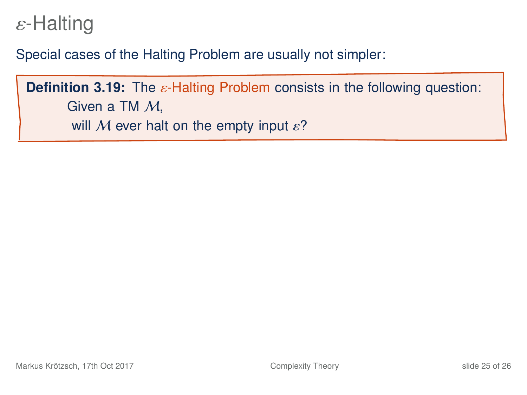#### $\varepsilon$ -Halting

Special cases of the Halting Problem are usually not simpler:

**Definition 3.19:** The ε-Halting Problem consists in the following question: Given a TM M, will M ever halt on the empty input  $\varepsilon$ ?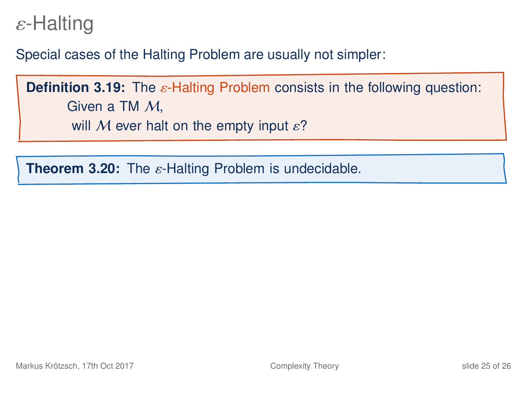#### $\varepsilon$ -Halting

Special cases of the Halting Problem are usually not simpler:

**Definition 3.19:** The ε-Halting Problem consists in the following question: Given a TM M, will M ever halt on the empty input  $\varepsilon$ ?

**Theorem 3.20:** The ε-Halting Problem is undecidable.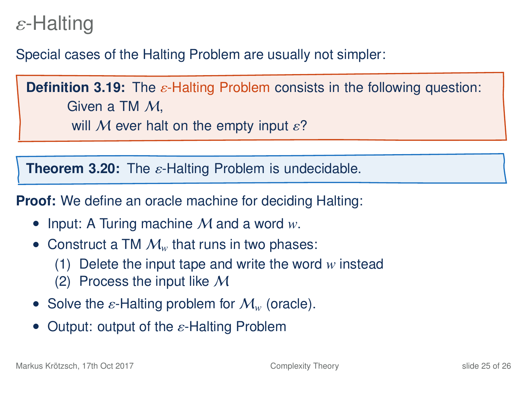#### ε-Halting

Special cases of the Halting Problem are usually not simpler:

**Definition 3.19:** The ε-Halting Problem consists in the following question: Given a TM M,

will M ever halt on the empty input  $\varepsilon$ ?

**Theorem 3.20:** The ε-Halting Problem is undecidable.

**Proof:** We define an oracle machine for deciding Halting:

- Input: A Turing machine M and a word *w*.
- Construct a TM  $\mathcal{M}_w$  that runs in two phases:
	- (1) Delete the input tape and write the word *w* instead
	- (2) Process the input like  $M$
- Solve the  $\varepsilon$ -Halting problem for  $\mathcal{M}_w$  (oracle).
- Output: output of the  $\varepsilon$ -Halting Problem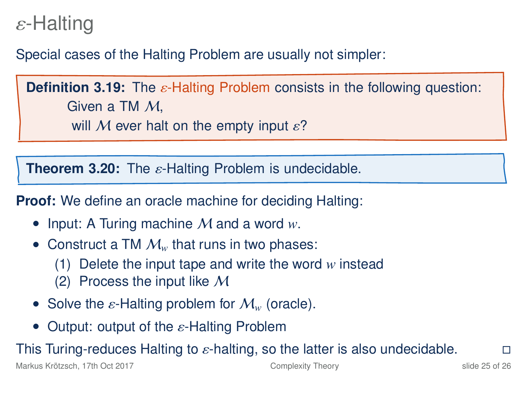#### ε-Halting

Special cases of the Halting Problem are usually not simpler:

**Definition 3.19:** The ε-Halting Problem consists in the following question: Given a TM M,

will M ever halt on the empty input  $\varepsilon$ ?

**Theorem 3.20:** The ε-Halting Problem is undecidable.

**Proof:** We define an oracle machine for deciding Halting:

- Input: A Turing machine M and a word *w*.
- Construct a TM  $\mathcal{M}_w$  that runs in two phases:
	- (1) Delete the input tape and write the word *w* instead
	- (2) Process the input like  $M$
- Solve the  $\varepsilon$ -Halting problem for  $\mathcal{M}_w$  (oracle).
- Output: output of the  $\varepsilon$ -Halting Problem

This Turing-reduces Halting to  $\varepsilon$ -halting, so the latter is also undecidable.  $\square$ <br>Markus Krõtzsch. 17th Oct 2017